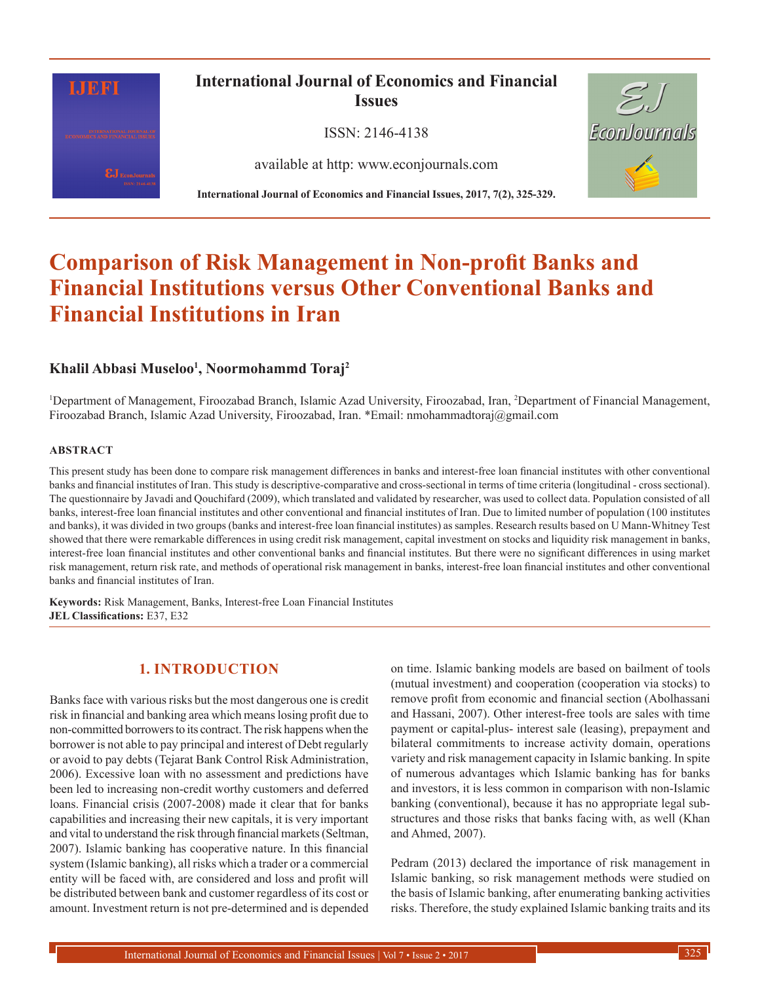

## **International Journal of Economics and Financial Issues**

ISSN: 2146-4138

available at http: www.econjournals.com



**International Journal of Economics and Financial Issues, 2017, 7(2), 325-329.**

# **Comparison of Risk Management in Non-profit Banks and Financial Institutions versus Other Conventional Banks and Financial Institutions in Iran**

## **Khalil Abbasi Museloo1 , Noormohammd Toraj2**

<sup>1</sup>Department of Management, Firoozabad Branch, Islamic Azad University, Firoozabad, Iran, <sup>2</sup>Department of Financial Management, Firoozabad Branch, Islamic Azad University, Firoozabad, Iran. \*Email: nmohammadtoraj@gmail.com

#### **ABSTRACT**

This present study has been done to compare risk management differences in banks and interest-free loan financial institutes with other conventional banks and financial institutes of Iran. This study is descriptive-comparative and cross-sectional in terms of time criteria (longitudinal - cross sectional). The questionnaire by Javadi and Qouchifard (2009), which translated and validated by researcher, was used to collect data. Population consisted of all banks, interest-free loan financial institutes and other conventional and financial institutes of Iran. Due to limited number of population (100 institutes and banks), it was divided in two groups (banks and interest-free loan financial institutes) as samples. Research results based on U Mann-Whitney Test showed that there were remarkable differences in using credit risk management, capital investment on stocks and liquidity risk management in banks, interest-free loan financial institutes and other conventional banks and financial institutes. But there were no significant differences in using market risk management, return risk rate, and methods of operational risk management in banks, interest-free loan financial institutes and other conventional banks and financial institutes of Iran.

**Keywords:** Risk Management, Banks, Interest-free Loan Financial Institutes **JEL Classifications:** E37, E32

## **1. INTRODUCTION**

Banks face with various risks but the most dangerous one is credit risk in financial and banking area which means losing profit due to non-committed borrowers to its contract. The risk happens when the borrower is not able to pay principal and interest of Debt regularly or avoid to pay debts (Tejarat Bank Control Risk Administration, 2006). Excessive loan with no assessment and predictions have been led to increasing non-credit worthy customers and deferred loans. Financial crisis (2007-2008) made it clear that for banks capabilities and increasing their new capitals, it is very important and vital to understand the risk through financial markets (Seltman, 2007). Islamic banking has cooperative nature. In this financial system (Islamic banking), all risks which a trader or a commercial entity will be faced with, are considered and loss and profit will be distributed between bank and customer regardless of its cost or amount. Investment return is not pre-determined and is depended

on time. Islamic banking models are based on bailment of tools (mutual investment) and cooperation (cooperation via stocks) to remove profit from economic and financial section (Abolhassani and Hassani, 2007). Other interest-free tools are sales with time payment or capital-plus- interest sale (leasing), prepayment and bilateral commitments to increase activity domain, operations variety and risk management capacity in Islamic banking. In spite of numerous advantages which Islamic banking has for banks and investors, it is less common in comparison with non-Islamic banking (conventional), because it has no appropriate legal substructures and those risks that banks facing with, as well (Khan and Ahmed, 2007).

Pedram (2013) declared the importance of risk management in Islamic banking, so risk management methods were studied on the basis of Islamic banking, after enumerating banking activities risks. Therefore, the study explained Islamic banking traits and its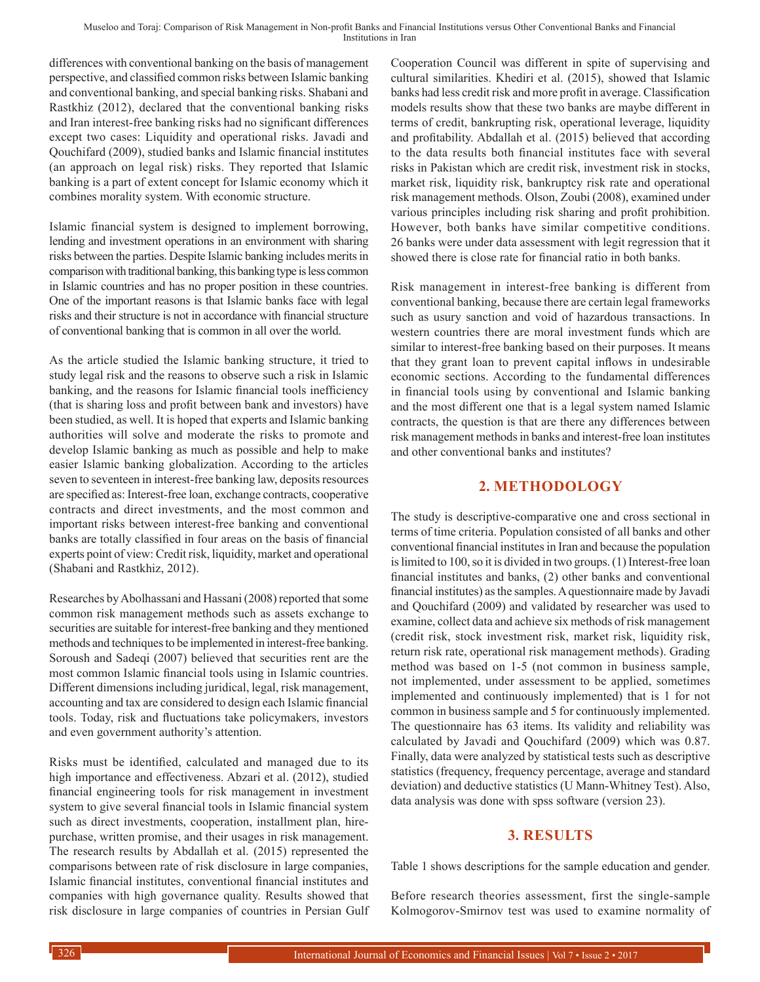differences with conventional banking on the basis of management perspective, and classified common risks between Islamic banking and conventional banking, and special banking risks. Shabani and Rastkhiz (2012), declared that the conventional banking risks and Iran interest-free banking risks had no significant differences except two cases: Liquidity and operational risks. Javadi and Qouchifard (2009), studied banks and Islamic financial institutes (an approach on legal risk) risks. They reported that Islamic banking is a part of extent concept for Islamic economy which it combines morality system. With economic structure.

Islamic financial system is designed to implement borrowing, lending and investment operations in an environment with sharing risks between the parties. Despite Islamic banking includes merits in comparison with traditional banking, this banking type is less common in Islamic countries and has no proper position in these countries. One of the important reasons is that Islamic banks face with legal risks and their structure is not in accordance with financial structure of conventional banking that is common in all over the world.

As the article studied the Islamic banking structure, it tried to study legal risk and the reasons to observe such a risk in Islamic banking, and the reasons for Islamic financial tools inefficiency (that is sharing loss and profit between bank and investors) have been studied, as well. It is hoped that experts and Islamic banking authorities will solve and moderate the risks to promote and develop Islamic banking as much as possible and help to make easier Islamic banking globalization. According to the articles seven to seventeen in interest-free banking law, deposits resources are specified as: Interest-free loan, exchange contracts, cooperative contracts and direct investments, and the most common and important risks between interest-free banking and conventional banks are totally classified in four areas on the basis of financial experts point of view: Credit risk, liquidity, market and operational (Shabani and Rastkhiz, 2012).

Researches by Abolhassani and Hassani (2008) reported that some common risk management methods such as assets exchange to securities are suitable for interest-free banking and they mentioned methods and techniques to be implemented in interest-free banking. Soroush and Sadeqi (2007) believed that securities rent are the most common Islamic financial tools using in Islamic countries. Different dimensions including juridical, legal, risk management, accounting and tax are considered to design each Islamic financial tools. Today, risk and fluctuations take policymakers, investors and even government authority's attention.

Risks must be identified, calculated and managed due to its high importance and effectiveness. Abzari et al. (2012), studied financial engineering tools for risk management in investment system to give several financial tools in Islamic financial system such as direct investments, cooperation, installment plan, hirepurchase, written promise, and their usages in risk management. The research results by Abdallah et al. (2015) represented the comparisons between rate of risk disclosure in large companies, Islamic financial institutes, conventional financial institutes and companies with high governance quality. Results showed that risk disclosure in large companies of countries in Persian Gulf Cooperation Council was different in spite of supervising and cultural similarities. Khediri et al. (2015), showed that Islamic banks had less credit risk and more profit in average. Classification models results show that these two banks are maybe different in terms of credit, bankrupting risk, operational leverage, liquidity and profitability. Abdallah et al. (2015) believed that according to the data results both financial institutes face with several risks in Pakistan which are credit risk, investment risk in stocks, market risk, liquidity risk, bankruptcy risk rate and operational risk management methods. Olson, Zoubi (2008), examined under various principles including risk sharing and profit prohibition. However, both banks have similar competitive conditions. 26 banks were under data assessment with legit regression that it showed there is close rate for financial ratio in both banks.

Risk management in interest-free banking is different from conventional banking, because there are certain legal frameworks such as usury sanction and void of hazardous transactions. In western countries there are moral investment funds which are similar to interest-free banking based on their purposes. It means that they grant loan to prevent capital inflows in undesirable economic sections. According to the fundamental differences in financial tools using by conventional and Islamic banking and the most different one that is a legal system named Islamic contracts, the question is that are there any differences between risk management methods in banks and interest-free loan institutes and other conventional banks and institutes?

## **2. METHODOLOGY**

The study is descriptive-comparative one and cross sectional in terms of time criteria. Population consisted of all banks and other conventional financial institutes in Iran and because the population is limited to 100, so it is divided in two groups. (1) Interest-free loan financial institutes and banks, (2) other banks and conventional financial institutes) as the samples. Aquestionnaire made by Javadi and Qouchifard (2009) and validated by researcher was used to examine, collect data and achieve six methods of risk management (credit risk, stock investment risk, market risk, liquidity risk, return risk rate, operational risk management methods). Grading method was based on 1-5 (not common in business sample, not implemented, under assessment to be applied, sometimes implemented and continuously implemented) that is 1 for not common in business sample and 5 for continuously implemented. The questionnaire has 63 items. Its validity and reliability was calculated by Javadi and Qouchifard (2009) which was 0.87. Finally, data were analyzed by statistical tests such as descriptive statistics (frequency, frequency percentage, average and standard deviation) and deductive statistics (U Mann-Whitney Test). Also, data analysis was done with spss software (version 23).

### **3. RESULTS**

Table 1 shows descriptions for the sample education and gender.

Before research theories assessment, first the single-sample Kolmogorov-Smirnov test was used to examine normality of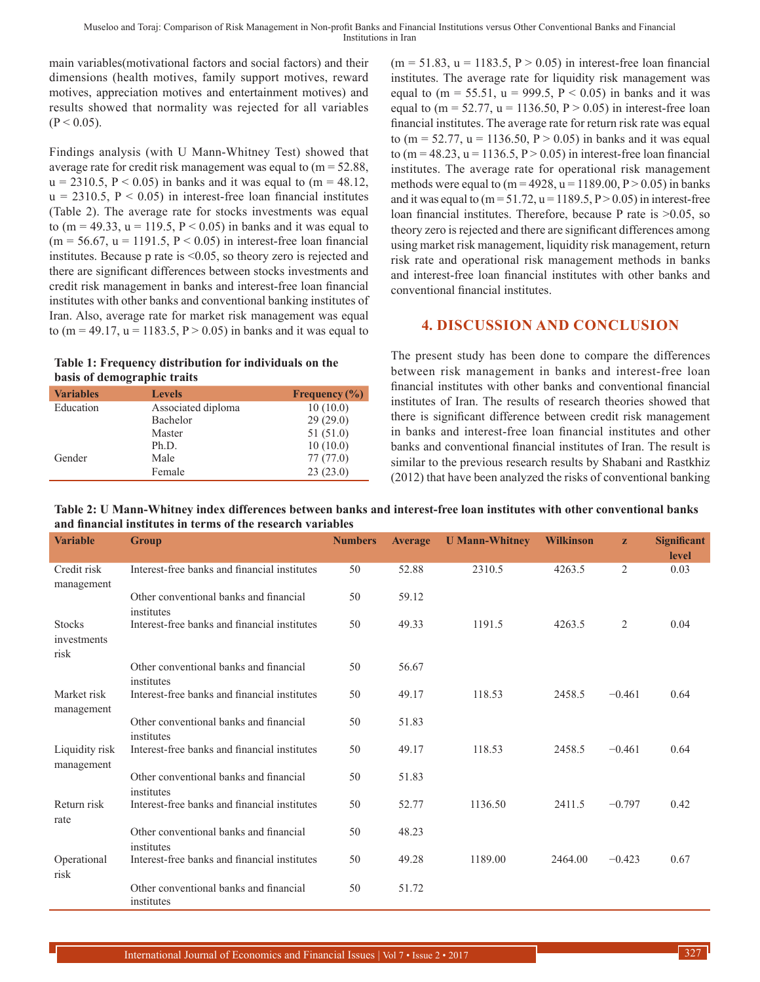main variables(motivational factors and social factors) and their dimensions (health motives, family support motives, reward motives, appreciation motives and entertainment motives) and results showed that normality was rejected for all variables  $(P < 0.05)$ .

Findings analysis (with U Mann-Whitney Test) showed that average rate for credit risk management was equal to  $(m = 52.88,$  $u = 2310.5$ ,  $P < 0.05$ ) in banks and it was equal to (m = 48.12,  $u = 2310.5$ ,  $P < 0.05$ ) in interest-free loan financial institutes (Table 2). The average rate for stocks investments was equal to (m = 49.33, u = 119.5, P < 0.05) in banks and it was equal to  $(m = 56.67, u = 1191.5, P < 0.05)$  in interest-free loan financial institutes. Because p rate is <0.05, so theory zero is rejected and there are significant differences between stocks investments and credit risk management in banks and interest-free loan financial institutes with other banks and conventional banking institutes of Iran. Also, average rate for market risk management was equal to (m = 49.17, u = 1183.5, P > 0.05) in banks and it was equal to

**Table 1: Frequency distribution for individuals on the basis of demographic traits**

| <b>Variables</b> | <b>Levels</b>      | Frequency $(\% )$ |
|------------------|--------------------|-------------------|
| Education        | Associated diploma | 10(10.0)          |
|                  | Bachelor           | 29(29.0)          |
|                  | Master             | 51(51.0)          |
|                  | Ph.D.              | 10(10.0)          |
| Gender           | Male               | 77(77.0)          |
|                  | Female             | 23(23.0)          |

 $(m = 51.83, u = 1183.5, P > 0.05)$  in interest-free loan financial institutes. The average rate for liquidity risk management was equal to  $(m = 55.51, u = 999.5, P < 0.05)$  in banks and it was equal to  $(m = 52.77, u = 1136.50, P > 0.05)$  in interest-free loan financial institutes. The average rate for return risk rate was equal to (m = 52.77, u = 1136.50, P > 0.05) in banks and it was equal to (m = 48.23, u = 1136.5,  $P > 0.05$ ) in interest-free loan financial institutes. The average rate for operational risk management methods were equal to  $(m = 4928, u = 1189.00, P > 0.05)$  in banks and it was equal to  $(m = 51.72, u = 1189.5, P > 0.05)$  in interest-free loan financial institutes. Therefore, because P rate is >0.05, so theory zero is rejected and there are significant differences among using market risk management, liquidity risk management, return risk rate and operational risk management methods in banks and interest-free loan financial institutes with other banks and conventional financial institutes.

## **4. DISCUSSION AND CONCLUSION**

The present study has been done to compare the differences between risk management in banks and interest-free loan financial institutes with other banks and conventional financial institutes of Iran. The results of research theories showed that there is significant difference between credit risk management in banks and interest-free loan financial institutes and other banks and conventional financial institutes of Iran. The result is similar to the previous research results by Shabani and Rastkhiz (2012) that have been analyzed the risks of conventional banking

| Table 2: U Mann-Whitney index differences between banks and interest-free loan institutes with other conventional banks |
|-------------------------------------------------------------------------------------------------------------------------|
| and financial institutes in terms of the research variables                                                             |

| <b>Variable</b>                      | Group                                                | <b>Numbers</b> | <b>Average</b> | <b>U</b> Mann-Whitney | <b>Wilkinson</b> | $\mathbf{z}$ | <b>Significant</b><br>level |
|--------------------------------------|------------------------------------------------------|----------------|----------------|-----------------------|------------------|--------------|-----------------------------|
| Credit risk<br>management            | Interest-free banks and financial institutes         | 50             | 52.88          | 2310.5                | 4263.5           | 2            | 0.03                        |
|                                      | Other conventional banks and financial<br>institutes | 50             | 59.12          |                       |                  |              |                             |
| <b>Stocks</b><br>investments<br>risk | Interest-free banks and financial institutes         | 50             | 49.33          | 1191.5                | 4263.5           | 2            | 0.04                        |
|                                      | Other conventional banks and financial<br>institutes | 50             | 56.67          |                       |                  |              |                             |
| Market risk<br>management            | Interest-free banks and financial institutes         | 50             | 49.17          | 118.53                | 2458.5           | $-0.461$     | 0.64                        |
|                                      | Other conventional banks and financial<br>institutes | 50             | 51.83          |                       |                  |              |                             |
| Liquidity risk<br>management         | Interest-free banks and financial institutes         | 50             | 49.17          | 118.53                | 2458.5           | $-0.461$     | 0.64                        |
|                                      | Other conventional banks and financial<br>institutes | 50             | 51.83          |                       |                  |              |                             |
| Return risk<br>rate                  | Interest-free banks and financial institutes         | 50             | 52.77          | 1136.50               | 2411.5           | $-0.797$     | 0.42                        |
|                                      | Other conventional banks and financial<br>institutes | 50             | 48.23          |                       |                  |              |                             |
| Operational<br>risk                  | Interest-free banks and financial institutes         | 50             | 49.28          | 1189.00               | 2464.00          | $-0.423$     | 0.67                        |
|                                      | Other conventional banks and financial<br>institutes | 50             | 51.72          |                       |                  |              |                             |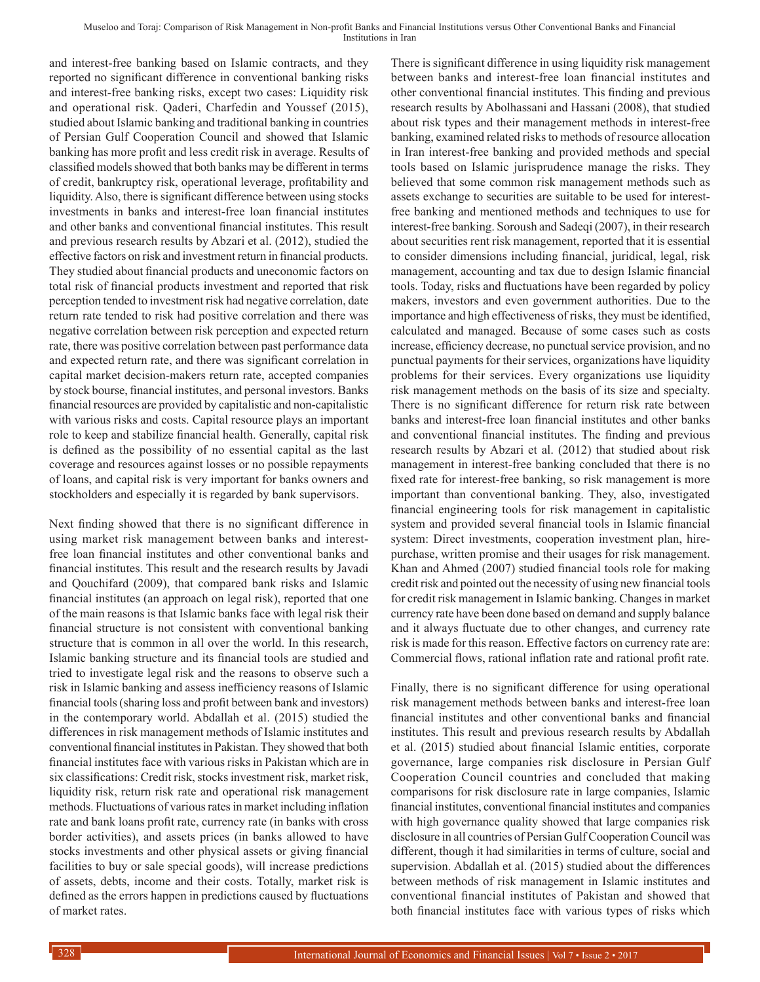and interest-free banking based on Islamic contracts, and they reported no significant difference in conventional banking risks and interest-free banking risks, except two cases: Liquidity risk and operational risk. Qaderi, Charfedin and Youssef (2015), studied about Islamic banking and traditional banking in countries of Persian Gulf Cooperation Council and showed that Islamic banking has more profit and less credit risk in average. Results of classified models showed that both banks may be different in terms of credit, bankruptcy risk, operational leverage, profitability and liquidity. Also, there is significant difference between using stocks investments in banks and interest-free loan financial institutes and other banks and conventional financial institutes. This result and previous research results by Abzari et al. (2012), studied the effective factors on risk and investment return in financial products. They studied about financial products and uneconomic factors on total risk of financial products investment and reported that risk perception tended to investment risk had negative correlation, date return rate tended to risk had positive correlation and there was negative correlation between risk perception and expected return rate, there was positive correlation between past performance data and expected return rate, and there was significant correlation in capital market decision-makers return rate, accepted companies by stock bourse, financial institutes, and personal investors. Banks financial resources are provided by capitalistic and non-capitalistic with various risks and costs. Capital resource plays an important role to keep and stabilize financial health. Generally, capital risk is defined as the possibility of no essential capital as the last coverage and resources against losses or no possible repayments of loans, and capital risk is very important for banks owners and stockholders and especially it is regarded by bank supervisors.

Next finding showed that there is no significant difference in using market risk management between banks and interestfree loan financial institutes and other conventional banks and financial institutes. This result and the research results by Javadi and Qouchifard (2009), that compared bank risks and Islamic financial institutes (an approach on legal risk), reported that one of the main reasons is that Islamic banks face with legal risk their financial structure is not consistent with conventional banking structure that is common in all over the world. In this research, Islamic banking structure and its financial tools are studied and tried to investigate legal risk and the reasons to observe such a risk in Islamic banking and assess inefficiency reasons of Islamic financial tools (sharing loss and profit between bank and investors) in the contemporary world. Abdallah et al. (2015) studied the differences in risk management methods of Islamic institutes and conventional financial institutes in Pakistan. They showed that both financial institutes face with various risks in Pakistan which are in six classifications: Credit risk, stocks investment risk, market risk, liquidity risk, return risk rate and operational risk management methods. Fluctuations of various rates in market including inflation rate and bank loans profit rate, currency rate (in banks with cross border activities), and assets prices (in banks allowed to have stocks investments and other physical assets or giving financial facilities to buy or sale special goods), will increase predictions of assets, debts, income and their costs. Totally, market risk is defined as the errors happen in predictions caused by fluctuations of market rates.

There is significant difference in using liquidity risk management between banks and interest-free loan financial institutes and other conventional financial institutes. This finding and previous research results by Abolhassani and Hassani (2008), that studied about risk types and their management methods in interest-free banking, examined related risks to methods of resource allocation in Iran interest-free banking and provided methods and special tools based on Islamic jurisprudence manage the risks. They believed that some common risk management methods such as assets exchange to securities are suitable to be used for interestfree banking and mentioned methods and techniques to use for interest-free banking. Soroush and Sadeqi (2007), in their research about securities rent risk management, reported that it is essential to consider dimensions including financial, juridical, legal, risk management, accounting and tax due to design Islamic financial tools. Today, risks and fluctuations have been regarded by policy makers, investors and even government authorities. Due to the importance and high effectiveness of risks, they must be identified, calculated and managed. Because of some cases such as costs increase, efficiency decrease, no punctual service provision, and no punctual payments for their services, organizations have liquidity problems for their services. Every organizations use liquidity risk management methods on the basis of its size and specialty. There is no significant difference for return risk rate between banks and interest-free loan financial institutes and other banks and conventional financial institutes. The finding and previous research results by Abzari et al. (2012) that studied about risk management in interest-free banking concluded that there is no fixed rate for interest-free banking, so risk management is more important than conventional banking. They, also, investigated financial engineering tools for risk management in capitalistic system and provided several financial tools in Islamic financial system: Direct investments, cooperation investment plan, hirepurchase, written promise and their usages for risk management. Khan and Ahmed (2007) studied financial tools role for making credit risk and pointed out the necessity of using new financial tools for credit risk management in Islamic banking. Changes in market currency rate have been done based on demand and supply balance and it always fluctuate due to other changes, and currency rate risk is made for this reason. Effective factors on currency rate are: Commercial flows, rational inflation rate and rational profit rate.

Finally, there is no significant difference for using operational risk management methods between banks and interest-free loan financial institutes and other conventional banks and financial institutes. This result and previous research results by Abdallah et al. (2015) studied about financial Islamic entities, corporate governance, large companies risk disclosure in Persian Gulf Cooperation Council countries and concluded that making comparisons for risk disclosure rate in large companies, Islamic financial institutes, conventional financial institutes and companies with high governance quality showed that large companies risk disclosure in all countries of Persian Gulf Cooperation Council was different, though it had similarities in terms of culture, social and supervision. Abdallah et al. (2015) studied about the differences between methods of risk management in Islamic institutes and conventional financial institutes of Pakistan and showed that both financial institutes face with various types of risks which